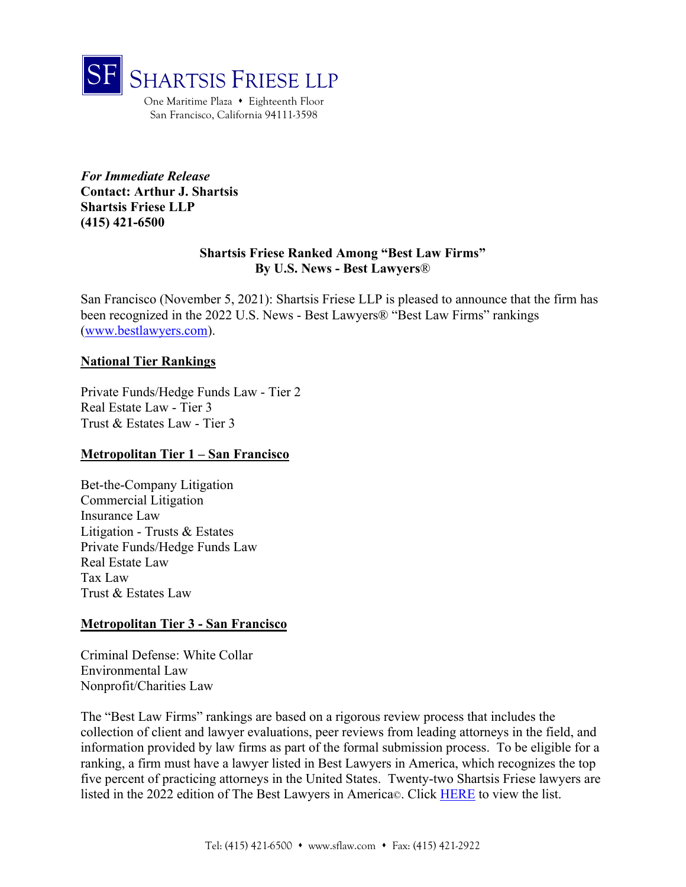

One Maritime Plaza • Eighteenth Floor San Francisco, California 94111-3598

*For Immediate Release*  **Contact: Arthur J. Shartsis Shartsis Friese LLP (415) 421-6500**

## **Shartsis Friese Ranked Among "Best Law Firms" By U.S. News - Best Lawyers**®

San Francisco (November 5, 2021): Shartsis Friese LLP is pleased to announce that the firm has been recognized in the 2022 U.S. News - Best Lawyers® "Best Law Firms" rankings (www.bestlawyers.com).

## **National Tier Rankings**

Private Funds/Hedge Funds Law - Tier 2 Real Estate Law - Tier 3 Trust & Estates Law - Tier 3

## **Metropolitan Tier 1 – San Francisco**

Bet-the-Company Litigation Commercial Litigation Insurance Law Litigation - Trusts & Estates Private Funds/Hedge Funds Law Real Estate Law Tax Law Trust & Estates Law

## **Metropolitan Tier 3 - San Francisco**

Criminal Defense: White Collar Environmental Law Nonprofit/Charities Law

The "Best Law Firms" rankings are based on a rigorous review process that includes the collection of client and lawyer evaluations, peer reviews from leading attorneys in the field, and information provided by law firms as part of the formal submission process. To be eligible for a ranking, a firm must have a lawyer listed in Best Lawyers in America, which recognizes the top five percent of practicing attorneys in the United States. Twenty-two Shartsis Friese lawyers are listed in the 2022 edition of The Best Lawyers in America©. Click HERE to view the list.